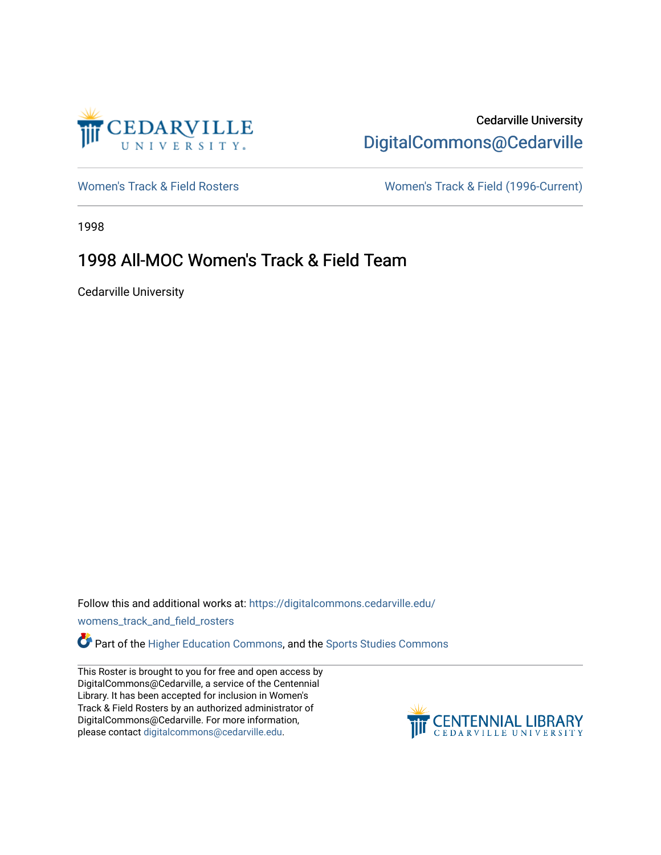

### Cedarville University [DigitalCommons@Cedarville](https://digitalcommons.cedarville.edu/)

[Women's Track & Field Rosters](https://digitalcommons.cedarville.edu/womens_track_and_field_rosters) Women's Track & Field (1996-Current)

1998

#### 1998 All-MOC Women's Track & Field Team

Cedarville University

Follow this and additional works at: [https://digitalcommons.cedarville.edu/](https://digitalcommons.cedarville.edu/womens_track_and_field_rosters?utm_source=digitalcommons.cedarville.edu%2Fwomens_track_and_field_rosters%2F21&utm_medium=PDF&utm_campaign=PDFCoverPages)

[womens\\_track\\_and\\_field\\_rosters](https://digitalcommons.cedarville.edu/womens_track_and_field_rosters?utm_source=digitalcommons.cedarville.edu%2Fwomens_track_and_field_rosters%2F21&utm_medium=PDF&utm_campaign=PDFCoverPages) 

Part of the [Higher Education Commons,](http://network.bepress.com/hgg/discipline/1245?utm_source=digitalcommons.cedarville.edu%2Fwomens_track_and_field_rosters%2F21&utm_medium=PDF&utm_campaign=PDFCoverPages) and the [Sports Studies Commons](http://network.bepress.com/hgg/discipline/1198?utm_source=digitalcommons.cedarville.edu%2Fwomens_track_and_field_rosters%2F21&utm_medium=PDF&utm_campaign=PDFCoverPages) 

This Roster is brought to you for free and open access by DigitalCommons@Cedarville, a service of the Centennial Library. It has been accepted for inclusion in Women's Track & Field Rosters by an authorized administrator of DigitalCommons@Cedarville. For more information, please contact [digitalcommons@cedarville.edu](mailto:digitalcommons@cedarville.edu).